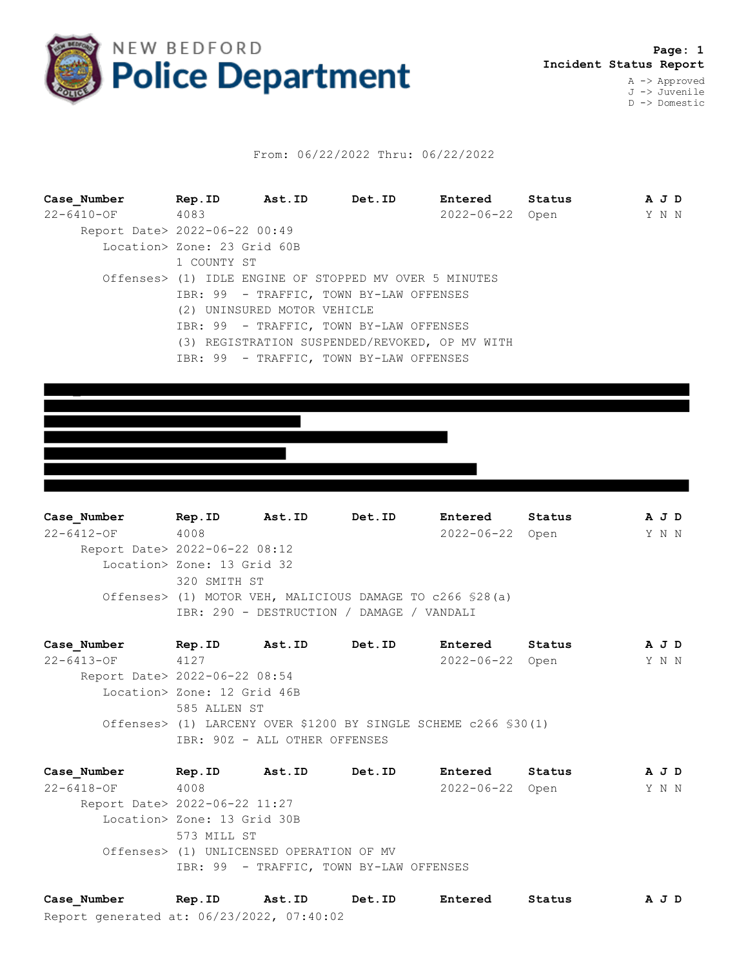

## From: 06/22/2022 Thru: 06/22/2022

| Case Number                   |                                                                        |  | Rep. ID Ast. ID Det. ID                                | <b>Entered</b>  | Status |  | A J D |  |  |
|-------------------------------|------------------------------------------------------------------------|--|--------------------------------------------------------|-----------------|--------|--|-------|--|--|
| 22-6410-OF 4083               |                                                                        |  |                                                        | 2022-06-22 Open |        |  | Y N N |  |  |
| Report Date> 2022-06-22 00:49 |                                                                        |  |                                                        |                 |        |  |       |  |  |
|                               | Location> Zone: 23 Grid 60B                                            |  |                                                        |                 |        |  |       |  |  |
|                               | 1 COUNTY ST                                                            |  |                                                        |                 |        |  |       |  |  |
|                               |                                                                        |  | Offenses> (1) IDLE ENGINE OF STOPPED MV OVER 5 MINUTES |                 |        |  |       |  |  |
|                               | IBR: 99 - TRAFFIC, TOWN BY-LAW OFFENSES<br>(2) UNINSURED MOTOR VEHICLE |  |                                                        |                 |        |  |       |  |  |
|                               |                                                                        |  |                                                        |                 |        |  |       |  |  |
|                               | IBR: 99 - TRAFFIC, TOWN BY-LAW OFFENSES                                |  |                                                        |                 |        |  |       |  |  |
|                               | (3) REGISTRATION SUSPENDED/REVOKED, OP MV WITH                         |  |                                                        |                 |        |  |       |  |  |
|                               |                                                                        |  | IBR: 99 - TRAFFIC, TOWN BY-LAW OFFENSES                |                 |        |  |       |  |  |

**Case\_Number Rep.ID Ast.ID Det.ID Entered Status A J D** 22-6412-OF 4008 2022-06-22 Open Y N N Report Date> 2022-06-22 08:12 Location> Zone: 13 Grid 32 320 SMITH ST Offenses> (1) MOTOR VEH, MALICIOUS DAMAGE TO c266 §28(a) IBR: 290 - DESTRUCTION / DAMAGE / VANDALI

**Case\_Number Rep.ID Ast.ID Det.ID Entered Status A J D** 22-6413-OF 4127 2022-06-22 Open Y N N Report Date> 2022-06-22 08:54 Location> Zone: 12 Grid 46B 585 ALLEN ST Offenses> (1) LARCENY OVER \$1200 BY SINGLE SCHEME c266 §30(1) IBR: 90Z - ALL OTHER OFFENSES

**Case\_Number Rep.ID Ast.ID Det.ID Entered Status A J D** 22-6418-OF 4008 2022-06-22 Open Y N N Report Date> 2022-06-22 11:27 Location> Zone: 13 Grid 30B 573 MILL ST Offenses> (1) UNLICENSED OPERATION OF MV IBR: 99 - TRAFFIC, TOWN BY-LAW OFFENSES

Report generated at: 06/23/2022, 07:40:02 **Case\_Number Rep.ID Ast.ID Det.ID Entered Status A J D**